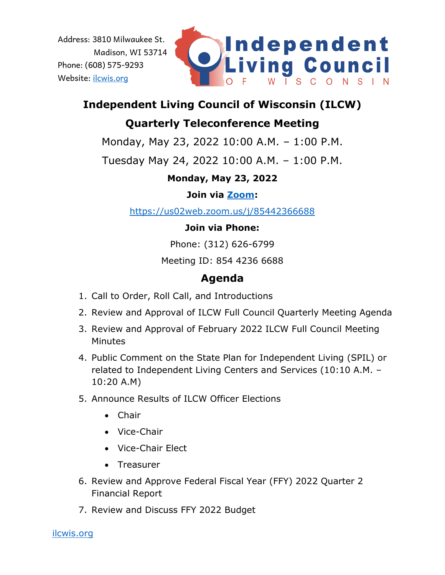

# **Independent Living Council of Wisconsin (ILCW)**

## **Quarterly Teleconference Meeting**

Monday, May 23, 2022 10:00 A.M. – 1:00 P.M.

Tuesday May 24, 2022 10:00 A.M. – 1:00 P.M.

## **Monday, May 23, 2022**

### **Join via [Zoom:](https://us02web.zoom.us/j/85442366688)**

<https://us02web.zoom.us/j/85442366688>

### **Join via Phone:**

Phone: (312) 626-6799

Meeting ID: 854 4236 6688

## **Agenda**

- 1. Call to Order, Roll Call, and Introductions
- 2. Review and Approval of ILCW Full Council Quarterly Meeting Agenda
- 3. Review and Approval of February 2022 ILCW Full Council Meeting **Minutes**
- 4. Public Comment on the State Plan for Independent Living (SPIL) or related to Independent Living Centers and Services (10:10 A.M. – 10:20 A.M)
- 5. Announce Results of ILCW Officer Elections
	- Chair
	- Vice-Chair
	- Vice-Chair Elect
	- Treasurer
- 6. Review and Approve Federal Fiscal Year (FFY) 2022 Quarter 2 Financial Report
- 7. Review and Discuss FFY 2022 Budget

[ilcwis.org](https://ilcwis.org/)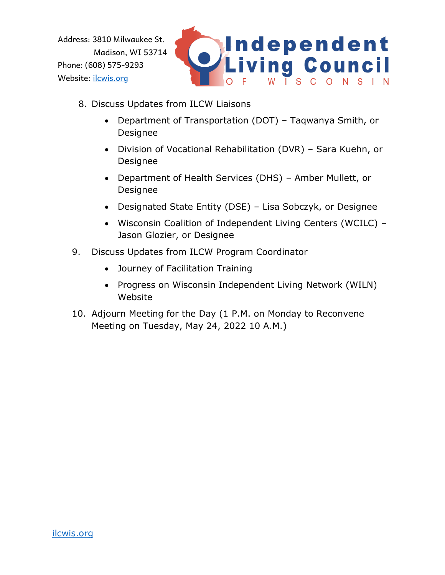

- 8. Discuss Updates from ILCW Liaisons
	- Department of Transportation (DOT) Taqwanya Smith, or Designee
	- Division of Vocational Rehabilitation (DVR) Sara Kuehn, or Designee
	- Department of Health Services (DHS) Amber Mullett, or Designee
	- Designated State Entity (DSE) Lisa Sobczyk, or Designee
	- Wisconsin Coalition of Independent Living Centers (WCILC) Jason Glozier, or Designee
- 9. Discuss Updates from ILCW Program Coordinator
	- Journey of Facilitation Training
	- Progress on Wisconsin Independent Living Network (WILN) Website
- 10. Adjourn Meeting for the Day (1 P.M. on Monday to Reconvene Meeting on Tuesday, May 24, 2022 10 A.M.)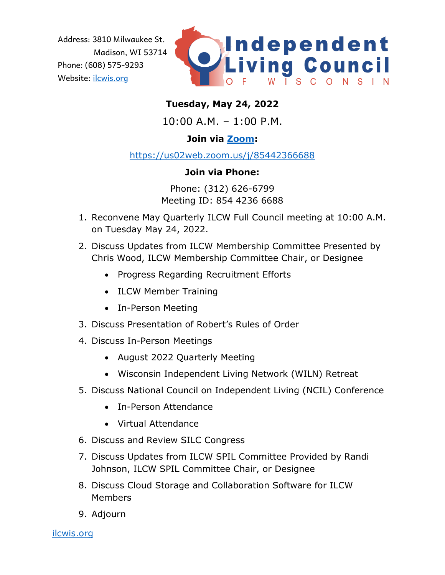

#### **Tuesday, May 24, 2022**

10:00 A.M. – 1:00 P.M.

#### **Join via [Zoom:](https://us02web.zoom.us/j/85442366688)**

<https://us02web.zoom.us/j/85442366688>

#### **Join via Phone:**

Phone: (312) 626-6799 Meeting ID: 854 4236 6688

- 1. Reconvene May Quarterly ILCW Full Council meeting at 10:00 A.M. on Tuesday May 24, 2022.
- 2. Discuss Updates from ILCW Membership Committee Presented by Chris Wood, ILCW Membership Committee Chair, or Designee
	- Progress Regarding Recruitment Efforts
	- ILCW Member Training
	- In-Person Meeting
- 3. Discuss Presentation of Robert's Rules of Order
- 4. Discuss In-Person Meetings
	- August 2022 Quarterly Meeting
	- Wisconsin Independent Living Network (WILN) Retreat
- 5. Discuss National Council on Independent Living (NCIL) Conference
	- In-Person Attendance
	- Virtual Attendance
- 6. Discuss and Review SILC Congress
- 7. Discuss Updates from ILCW SPIL Committee Provided by Randi Johnson, ILCW SPIL Committee Chair, or Designee
- 8. Discuss Cloud Storage and Collaboration Software for ILCW Members
- 9. Adjourn

[ilcwis.org](https://ilcwis.org/)